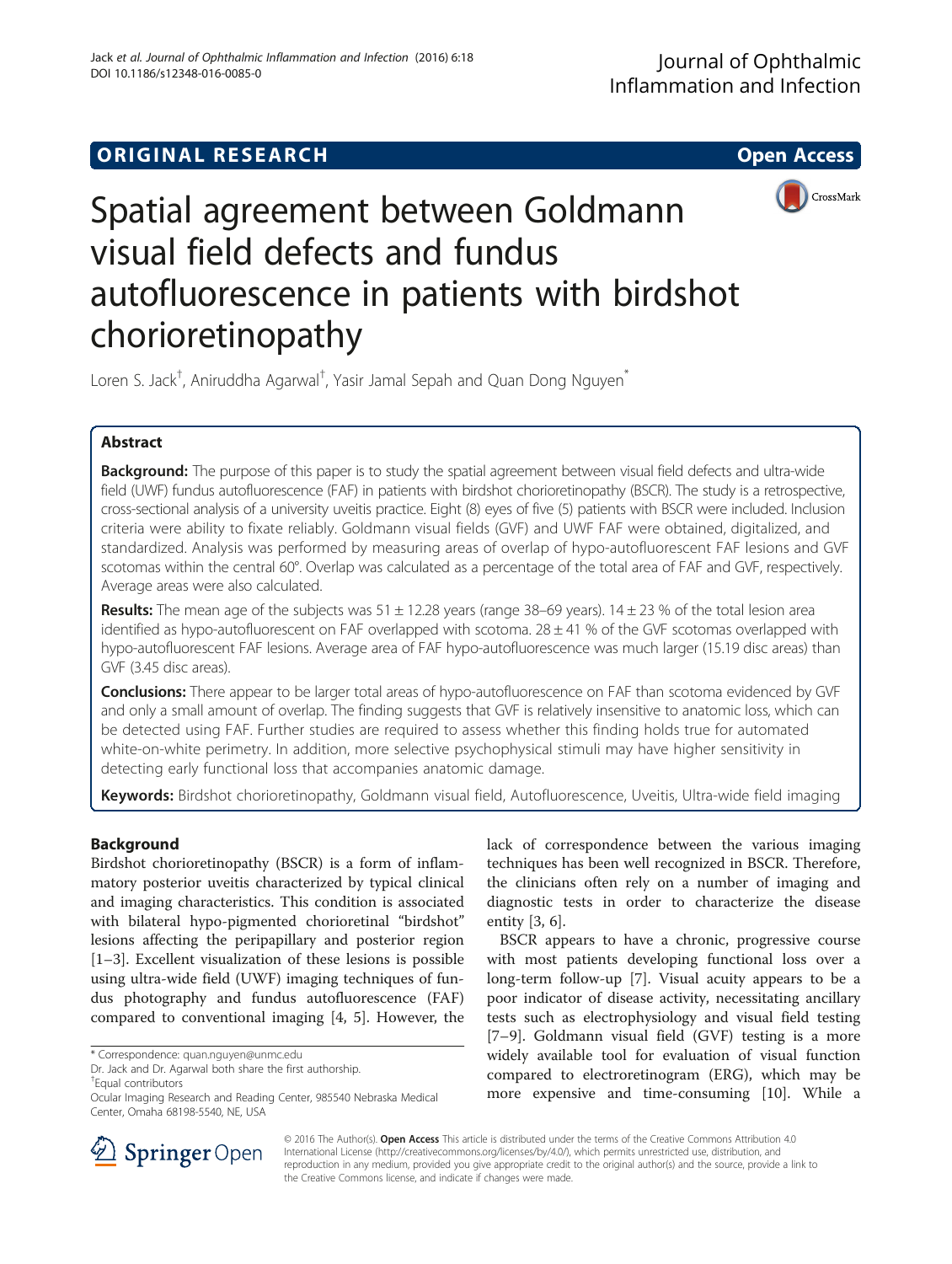## **ORIGINAL RESEARCH CONSUMING ACCESS**



# Spatial agreement between Goldmann visual field defects and fundus autofluorescence in patients with birdshot chorioretinopathy

Loren S. Jack<sup>†</sup>, Aniruddha Agarwal<sup>†</sup>, Yasir Jamal Sepah and Quan Dong Nguyen<sup>\*</sup>

## Abstract

Background: The purpose of this paper is to study the spatial agreement between visual field defects and ultra-wide field (UWF) fundus autofluorescence (FAF) in patients with birdshot chorioretinopathy (BSCR). The study is a retrospective, cross-sectional analysis of a university uveitis practice. Eight (8) eyes of five (5) patients with BSCR were included. Inclusion criteria were ability to fixate reliably. Goldmann visual fields (GVF) and UWF FAF were obtained, digitalized, and standardized. Analysis was performed by measuring areas of overlap of hypo-autofluorescent FAF lesions and GVF scotomas within the central 60°. Overlap was calculated as a percentage of the total area of FAF and GVF, respectively. Average areas were also calculated.

**Results:** The mean age of the subjects was  $51 \pm 12.28$  years (range 38–69 years).  $14 \pm 23$  % of the total lesion area identified as hypo-autofluorescent on FAF overlapped with scotoma.  $28 \pm 41$  % of the GVF scotomas overlapped with hypo-autofluorescent FAF lesions. Average area of FAF hypo-autofluorescence was much larger (15.19 disc areas) than GVF (3.45 disc areas).

Conclusions: There appear to be larger total areas of hypo-autofluorescence on FAF than scotoma evidenced by GVF and only a small amount of overlap. The finding suggests that GVF is relatively insensitive to anatomic loss, which can be detected using FAF. Further studies are required to assess whether this finding holds true for automated white-on-white perimetry. In addition, more selective psychophysical stimuli may have higher sensitivity in detecting early functional loss that accompanies anatomic damage.

Keywords: Birdshot chorioretinopathy, Goldmann visual field, Autofluorescence, Uveitis, Ultra-wide field imaging

## Background

Birdshot chorioretinopathy (BSCR) is a form of inflammatory posterior uveitis characterized by typical clinical and imaging characteristics. This condition is associated with bilateral hypo-pigmented chorioretinal "birdshot" lesions affecting the peripapillary and posterior region [[1](#page-5-0)–[3\]](#page-5-0). Excellent visualization of these lesions is possible using ultra-wide field (UWF) imaging techniques of fundus photography and fundus autofluorescence (FAF) compared to conventional imaging [\[4, 5](#page-5-0)]. However, the

lack of correspondence between the various imaging techniques has been well recognized in BSCR. Therefore, the clinicians often rely on a number of imaging and diagnostic tests in order to characterize the disease entity [[3, 6\]](#page-5-0).

BSCR appears to have a chronic, progressive course with most patients developing functional loss over a long-term follow-up [\[7](#page-5-0)]. Visual acuity appears to be a poor indicator of disease activity, necessitating ancillary tests such as electrophysiology and visual field testing [[7](#page-5-0)–[9\]](#page-5-0). Goldmann visual field (GVF) testing is a more widely available tool for evaluation of visual function compared to electroretinogram (ERG), which may be more expensive and time-consuming [[10\]](#page-5-0). While a



© 2016 The Author(s). Open Access This article is distributed under the terms of the Creative Commons Attribution 4.0 International License ([http://creativecommons.org/licenses/by/4.0/\)](http://creativecommons.org/licenses/by/4.0/), which permits unrestricted use, distribution, and reproduction in any medium, provided you give appropriate credit to the original author(s) and the source, provide a link to the Creative Commons license, and indicate if changes were made.

<sup>\*</sup> Correspondence: [quan.nguyen@unmc.edu](mailto:quan.nguyen@unmc.edu)

Dr. Jack and Dr. Agarwal both share the first authorship. † Equal contributors

Ocular Imaging Research and Reading Center, 985540 Nebraska Medical Center, Omaha 68198-5540, NE, USA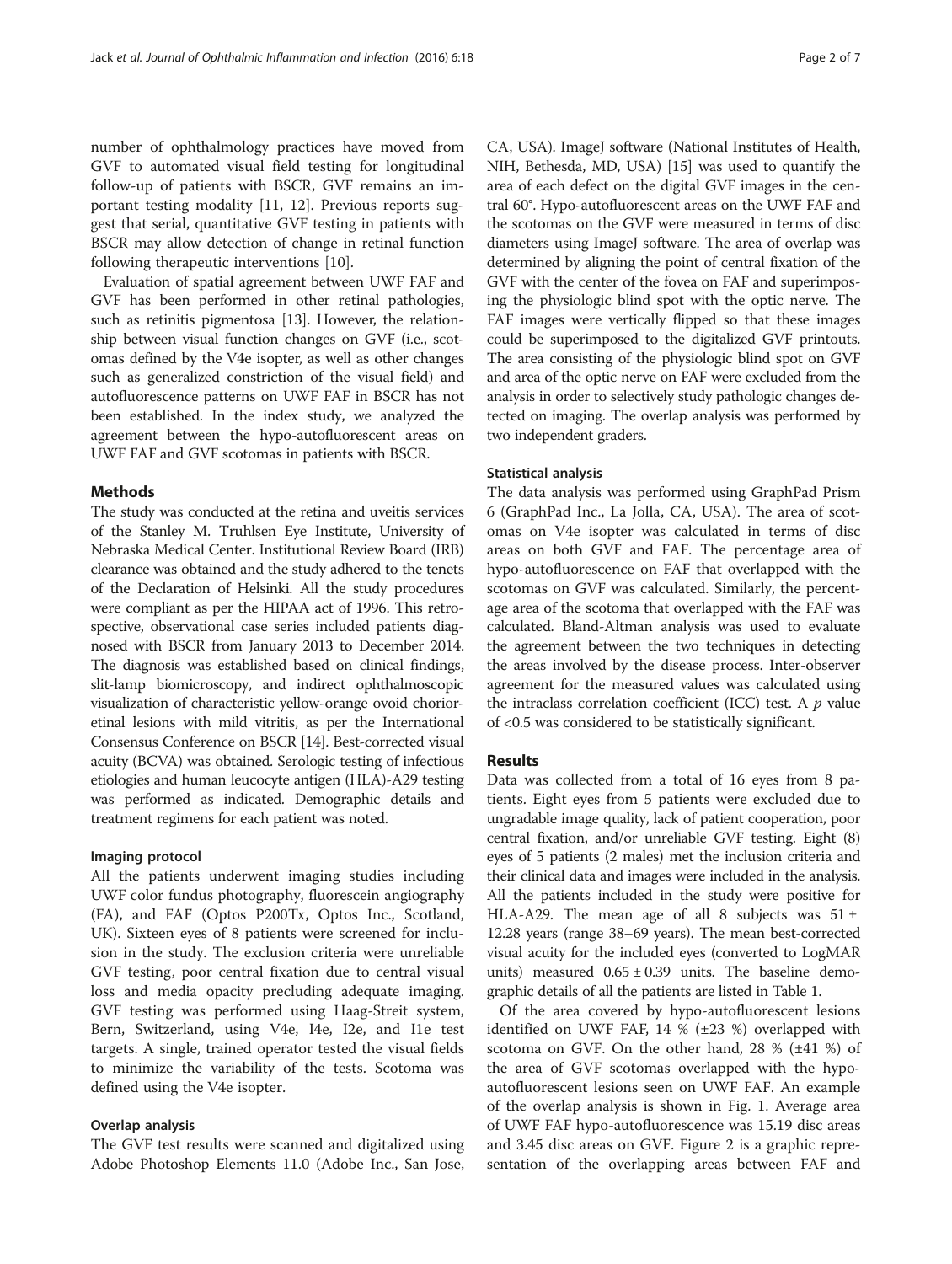number of ophthalmology practices have moved from GVF to automated visual field testing for longitudinal follow-up of patients with BSCR, GVF remains an important testing modality [\[11](#page-5-0), [12](#page-5-0)]. Previous reports suggest that serial, quantitative GVF testing in patients with BSCR may allow detection of change in retinal function following therapeutic interventions [\[10](#page-5-0)].

Evaluation of spatial agreement between UWF FAF and GVF has been performed in other retinal pathologies, such as retinitis pigmentosa [\[13\]](#page-5-0). However, the relationship between visual function changes on GVF (i.e., scotomas defined by the V4e isopter, as well as other changes such as generalized constriction of the visual field) and autofluorescence patterns on UWF FAF in BSCR has not been established. In the index study, we analyzed the agreement between the hypo-autofluorescent areas on UWF FAF and GVF scotomas in patients with BSCR.

### Methods

The study was conducted at the retina and uveitis services of the Stanley M. Truhlsen Eye Institute, University of Nebraska Medical Center. Institutional Review Board (IRB) clearance was obtained and the study adhered to the tenets of the Declaration of Helsinki. All the study procedures were compliant as per the HIPAA act of 1996. This retrospective, observational case series included patients diagnosed with BSCR from January 2013 to December 2014. The diagnosis was established based on clinical findings, slit-lamp biomicroscopy, and indirect ophthalmoscopic visualization of characteristic yellow-orange ovoid chorioretinal lesions with mild vitritis, as per the International Consensus Conference on BSCR [\[14\]](#page-5-0). Best-corrected visual acuity (BCVA) was obtained. Serologic testing of infectious etiologies and human leucocyte antigen (HLA)-A29 testing was performed as indicated. Demographic details and treatment regimens for each patient was noted.

#### Imaging protocol

All the patients underwent imaging studies including UWF color fundus photography, fluorescein angiography (FA), and FAF (Optos P200Tx, Optos Inc., Scotland, UK). Sixteen eyes of 8 patients were screened for inclusion in the study. The exclusion criteria were unreliable GVF testing, poor central fixation due to central visual loss and media opacity precluding adequate imaging. GVF testing was performed using Haag-Streit system, Bern, Switzerland, using V4e, I4e, I2e, and I1e test targets. A single, trained operator tested the visual fields to minimize the variability of the tests. Scotoma was defined using the V4e isopter.

## Overlap analysis

The GVF test results were scanned and digitalized using Adobe Photoshop Elements 11.0 (Adobe Inc., San Jose,

CA, USA). ImageJ software (National Institutes of Health, NIH, Bethesda, MD, USA) [[15](#page-5-0)] was used to quantify the area of each defect on the digital GVF images in the central 60°. Hypo-autofluorescent areas on the UWF FAF and the scotomas on the GVF were measured in terms of disc diameters using ImageJ software. The area of overlap was determined by aligning the point of central fixation of the GVF with the center of the fovea on FAF and superimposing the physiologic blind spot with the optic nerve. The FAF images were vertically flipped so that these images could be superimposed to the digitalized GVF printouts. The area consisting of the physiologic blind spot on GVF and area of the optic nerve on FAF were excluded from the analysis in order to selectively study pathologic changes detected on imaging. The overlap analysis was performed by two independent graders.

## Statistical analysis

The data analysis was performed using GraphPad Prism 6 (GraphPad Inc., La Jolla, CA, USA). The area of scotomas on V4e isopter was calculated in terms of disc areas on both GVF and FAF. The percentage area of hypo-autofluorescence on FAF that overlapped with the scotomas on GVF was calculated. Similarly, the percentage area of the scotoma that overlapped with the FAF was calculated. Bland-Altman analysis was used to evaluate the agreement between the two techniques in detecting the areas involved by the disease process. Inter-observer agreement for the measured values was calculated using the intraclass correlation coefficient (ICC) test. A  $p$  value of <0.5 was considered to be statistically significant.

## Results

Data was collected from a total of 16 eyes from 8 patients. Eight eyes from 5 patients were excluded due to ungradable image quality, lack of patient cooperation, poor central fixation, and/or unreliable GVF testing. Eight (8) eyes of 5 patients (2 males) met the inclusion criteria and their clinical data and images were included in the analysis. All the patients included in the study were positive for HLA-A29. The mean age of all 8 subjects was  $51 \pm$ 12.28 years (range 38–69 years). The mean best-corrected visual acuity for the included eyes (converted to LogMAR units) measured  $0.65 \pm 0.39$  units. The baseline demographic details of all the patients are listed in Table [1](#page-2-0).

Of the area covered by hypo-autofluorescent lesions identified on UWF FAF, 14 % (±23 %) overlapped with scotoma on GVF. On the other hand, 28 % (±41 %) of the area of GVF scotomas overlapped with the hypoautofluorescent lesions seen on UWF FAF. An example of the overlap analysis is shown in Fig. [1.](#page-2-0) Average area of UWF FAF hypo-autofluorescence was 15.19 disc areas and 3.45 disc areas on GVF. Figure [2](#page-3-0) is a graphic representation of the overlapping areas between FAF and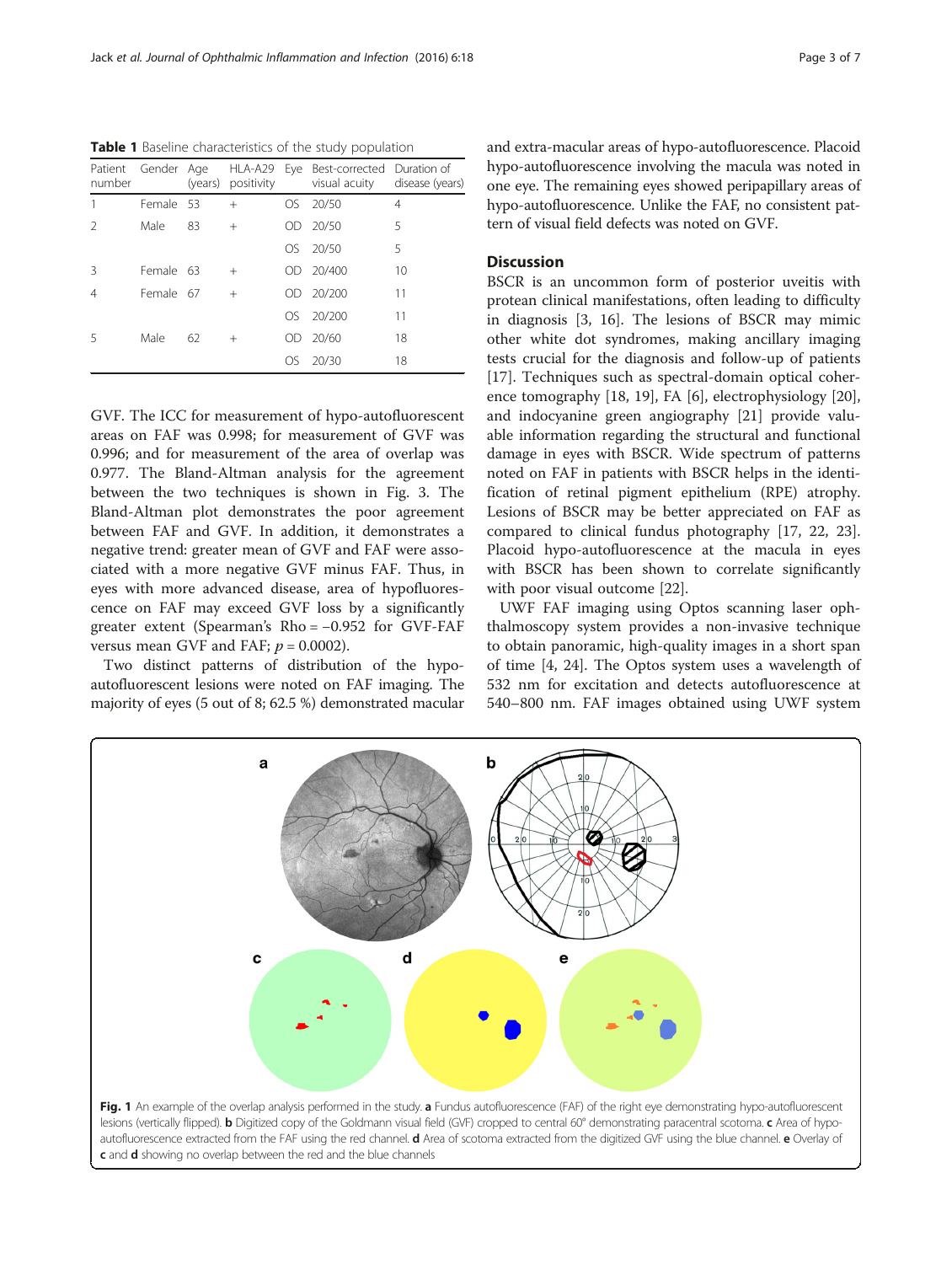<span id="page-2-0"></span>Table 1 Baseline characteristics of the study population

| Patient<br>number |           |    | (years) positivity |     | Gender Age HLA-A29 Eye Best-corrected Duration of<br>visual acuity disease (years) |    |
|-------------------|-----------|----|--------------------|-----|------------------------------------------------------------------------------------|----|
|                   | Female 53 |    | $^{+}$             | OS. | 20/50                                                                              | 4  |
| $\mathcal{P}$     | Male      | 83 | $+$                |     | OD 20/50                                                                           | 5  |
|                   |           |    |                    | OS. | - 20/50                                                                            | 5  |
| 3                 | Female 63 |    | $^{+}$             |     | OD 20/400                                                                          | 10 |
| 4                 | Female 67 |    | $^{+}$             |     | OD 20/200                                                                          | 11 |
|                   |           |    |                    | OS. | 20/200                                                                             | 11 |
| 5                 | Male      | 62 | $^{+}$             | OD. | 20/60                                                                              | 18 |
|                   |           |    |                    | OS. | 20/30                                                                              | 18 |

GVF. The ICC for measurement of hypo-autofluorescent areas on FAF was 0.998; for measurement of GVF was 0.996; and for measurement of the area of overlap was 0.977. The Bland-Altman analysis for the agreement between the two techniques is shown in Fig. [3.](#page-3-0) The Bland-Altman plot demonstrates the poor agreement between FAF and GVF. In addition, it demonstrates a negative trend: greater mean of GVF and FAF were associated with a more negative GVF minus FAF. Thus, in eyes with more advanced disease, area of hypofluorescence on FAF may exceed GVF loss by a significantly greater extent (Spearman's Rho = −0.952 for GVF-FAF versus mean GVF and FAF;  $p = 0.0002$ ).

Two distinct patterns of distribution of the hypoautofluorescent lesions were noted on FAF imaging. The majority of eyes (5 out of 8; 62.5 %) demonstrated macular and extra-macular areas of hypo-autofluorescence. Placoid hypo-autofluorescence involving the macula was noted in one eye. The remaining eyes showed peripapillary areas of hypo-autofluorescence. Unlike the FAF, no consistent pattern of visual field defects was noted on GVF.

## Discussion

BSCR is an uncommon form of posterior uveitis with protean clinical manifestations, often leading to difficulty in diagnosis [\[3](#page-5-0), [16](#page-5-0)]. The lesions of BSCR may mimic other white dot syndromes, making ancillary imaging tests crucial for the diagnosis and follow-up of patients [[17\]](#page-5-0). Techniques such as spectral-domain optical coherence tomography [[18, 19\]](#page-5-0), FA [[6\]](#page-5-0), electrophysiology [\[20](#page-6-0)], and indocyanine green angiography [[21](#page-6-0)] provide valuable information regarding the structural and functional damage in eyes with BSCR. Wide spectrum of patterns noted on FAF in patients with BSCR helps in the identification of retinal pigment epithelium (RPE) atrophy. Lesions of BSCR may be better appreciated on FAF as compared to clinical fundus photography [[17,](#page-5-0) [22](#page-6-0), [23](#page-6-0)]. Placoid hypo-autofluorescence at the macula in eyes with BSCR has been shown to correlate significantly with poor visual outcome [[22\]](#page-6-0).

UWF FAF imaging using Optos scanning laser ophthalmoscopy system provides a non-invasive technique to obtain panoramic, high-quality images in a short span of time [[4,](#page-5-0) [24](#page-6-0)]. The Optos system uses a wavelength of 532 nm for excitation and detects autofluorescence at 540–800 nm. FAF images obtained using UWF system

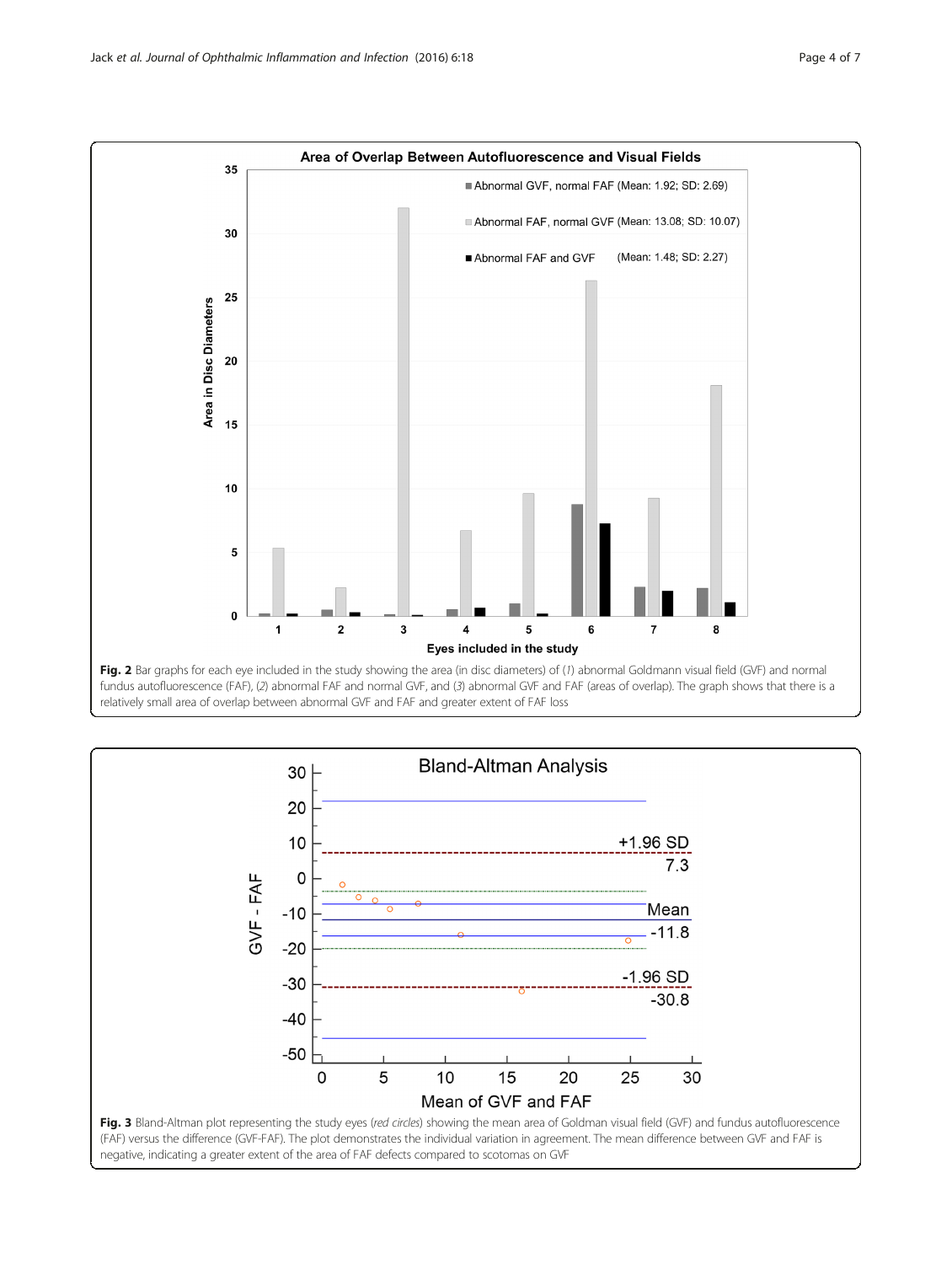<span id="page-3-0"></span>



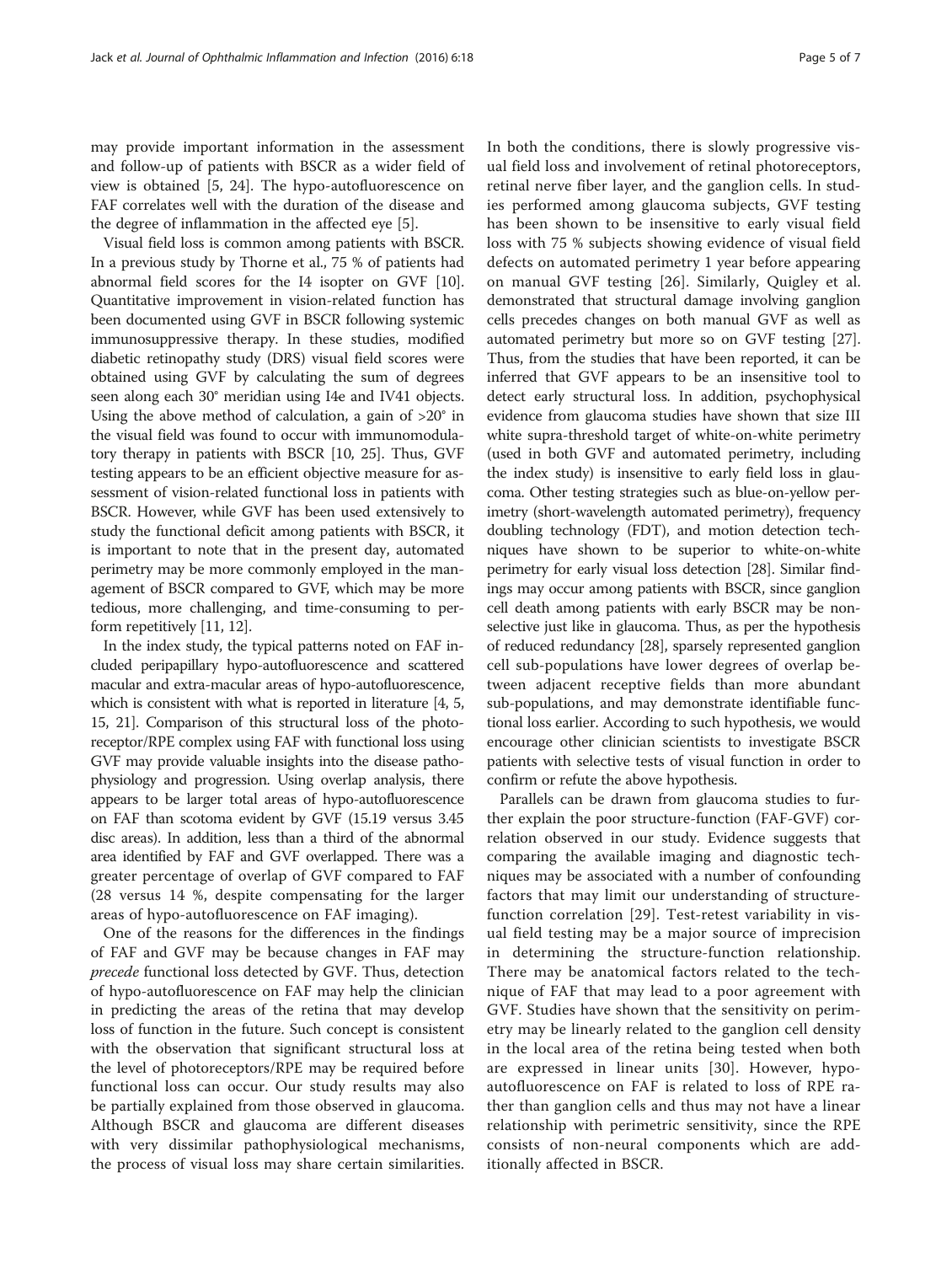may provide important information in the assessment and follow-up of patients with BSCR as a wider field of view is obtained [\[5](#page-5-0), [24\]](#page-6-0). The hypo-autofluorescence on FAF correlates well with the duration of the disease and the degree of inflammation in the affected eye [[5\]](#page-5-0).

Visual field loss is common among patients with BSCR. In a previous study by Thorne et al., 75 % of patients had abnormal field scores for the I4 isopter on GVF [[10](#page-5-0)]. Quantitative improvement in vision-related function has been documented using GVF in BSCR following systemic immunosuppressive therapy. In these studies, modified diabetic retinopathy study (DRS) visual field scores were obtained using GVF by calculating the sum of degrees seen along each 30° meridian using I4e and IV41 objects. Using the above method of calculation, a gain of >20° in the visual field was found to occur with immunomodulatory therapy in patients with BSCR [\[10,](#page-5-0) [25](#page-6-0)]. Thus, GVF testing appears to be an efficient objective measure for assessment of vision-related functional loss in patients with BSCR. However, while GVF has been used extensively to study the functional deficit among patients with BSCR, it is important to note that in the present day, automated perimetry may be more commonly employed in the management of BSCR compared to GVF, which may be more tedious, more challenging, and time-consuming to perform repetitively [\[11](#page-5-0), [12](#page-5-0)].

In the index study, the typical patterns noted on FAF included peripapillary hypo-autofluorescence and scattered macular and extra-macular areas of hypo-autofluorescence, which is consistent with what is reported in literature [\[4, 5](#page-5-0), [15](#page-5-0), [21\]](#page-6-0). Comparison of this structural loss of the photoreceptor/RPE complex using FAF with functional loss using GVF may provide valuable insights into the disease pathophysiology and progression. Using overlap analysis, there appears to be larger total areas of hypo-autofluorescence on FAF than scotoma evident by GVF (15.19 versus 3.45 disc areas). In addition, less than a third of the abnormal area identified by FAF and GVF overlapped. There was a greater percentage of overlap of GVF compared to FAF (28 versus 14 %, despite compensating for the larger areas of hypo-autofluorescence on FAF imaging).

One of the reasons for the differences in the findings of FAF and GVF may be because changes in FAF may precede functional loss detected by GVF. Thus, detection of hypo-autofluorescence on FAF may help the clinician in predicting the areas of the retina that may develop loss of function in the future. Such concept is consistent with the observation that significant structural loss at the level of photoreceptors/RPE may be required before functional loss can occur. Our study results may also be partially explained from those observed in glaucoma. Although BSCR and glaucoma are different diseases with very dissimilar pathophysiological mechanisms, the process of visual loss may share certain similarities. In both the conditions, there is slowly progressive visual field loss and involvement of retinal photoreceptors, retinal nerve fiber layer, and the ganglion cells. In studies performed among glaucoma subjects, GVF testing has been shown to be insensitive to early visual field loss with 75 % subjects showing evidence of visual field defects on automated perimetry 1 year before appearing on manual GVF testing [[26](#page-6-0)]. Similarly, Quigley et al. demonstrated that structural damage involving ganglion cells precedes changes on both manual GVF as well as automated perimetry but more so on GVF testing [[27](#page-6-0)]. Thus, from the studies that have been reported, it can be inferred that GVF appears to be an insensitive tool to detect early structural loss. In addition, psychophysical evidence from glaucoma studies have shown that size III white supra-threshold target of white-on-white perimetry (used in both GVF and automated perimetry, including the index study) is insensitive to early field loss in glaucoma. Other testing strategies such as blue-on-yellow perimetry (short-wavelength automated perimetry), frequency doubling technology (FDT), and motion detection techniques have shown to be superior to white-on-white perimetry for early visual loss detection [\[28\]](#page-6-0). Similar findings may occur among patients with BSCR, since ganglion cell death among patients with early BSCR may be nonselective just like in glaucoma. Thus, as per the hypothesis of reduced redundancy [\[28\]](#page-6-0), sparsely represented ganglion cell sub-populations have lower degrees of overlap between adjacent receptive fields than more abundant sub-populations, and may demonstrate identifiable functional loss earlier. According to such hypothesis, we would encourage other clinician scientists to investigate BSCR patients with selective tests of visual function in order to confirm or refute the above hypothesis.

Parallels can be drawn from glaucoma studies to further explain the poor structure-function (FAF-GVF) correlation observed in our study. Evidence suggests that comparing the available imaging and diagnostic techniques may be associated with a number of confounding factors that may limit our understanding of structurefunction correlation [\[29](#page-6-0)]. Test-retest variability in visual field testing may be a major source of imprecision in determining the structure-function relationship. There may be anatomical factors related to the technique of FAF that may lead to a poor agreement with GVF. Studies have shown that the sensitivity on perimetry may be linearly related to the ganglion cell density in the local area of the retina being tested when both are expressed in linear units [[30\]](#page-6-0). However, hypoautofluorescence on FAF is related to loss of RPE rather than ganglion cells and thus may not have a linear relationship with perimetric sensitivity, since the RPE consists of non-neural components which are additionally affected in BSCR.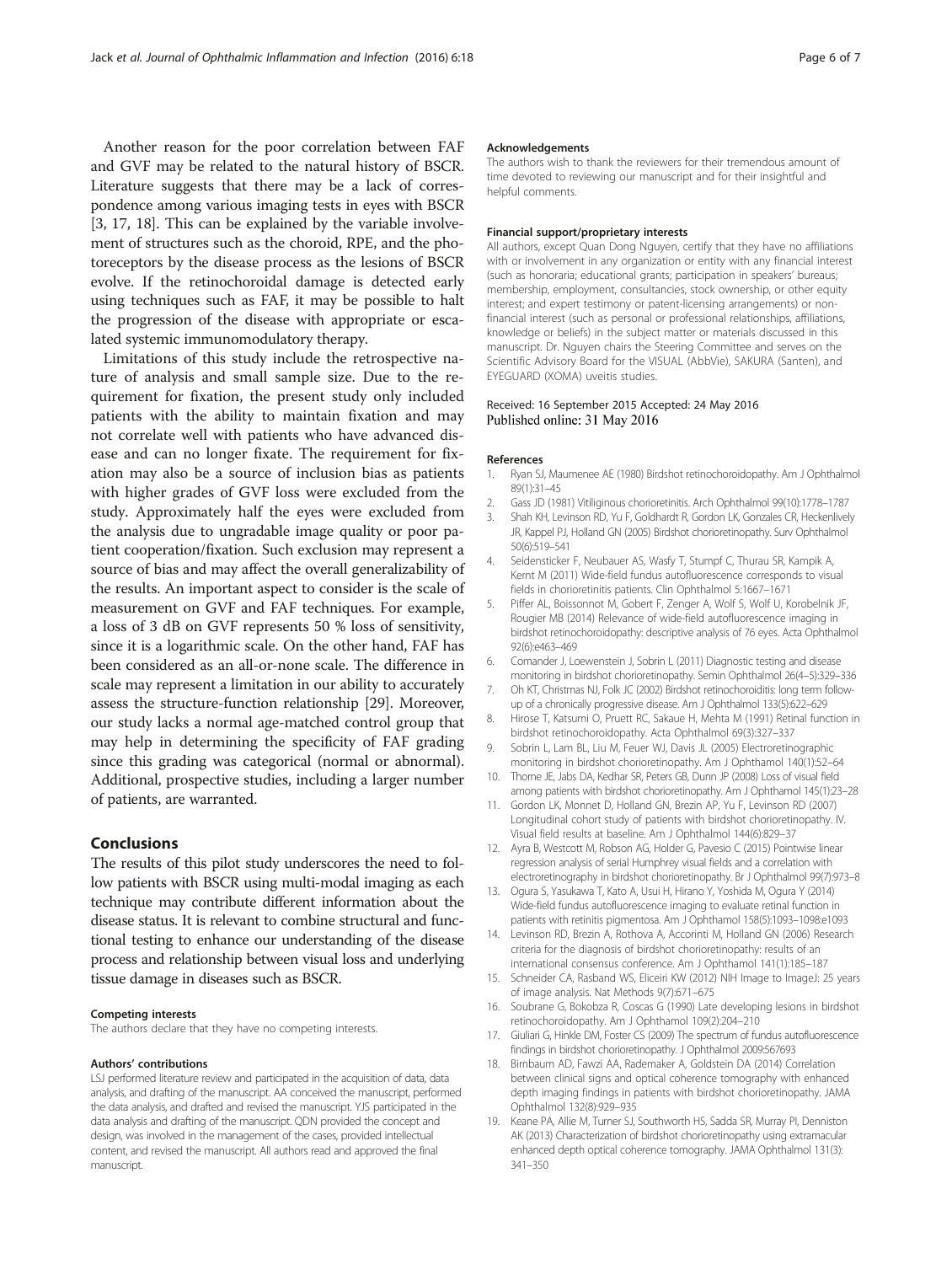<span id="page-5-0"></span>Another reason for the poor correlation between FAF and GVF may be related to the natural history of BSCR. Literature suggests that there may be a lack of correspondence among various imaging tests in eyes with BSCR [3, 17, 18]. This can be explained by the variable involvement of structures such as the choroid, RPE, and the photoreceptors by the disease process as the lesions of BSCR evolve. If the retinochoroidal damage is detected early using techniques such as FAF, it may be possible to halt the progression of the disease with appropriate or escalated systemic immunomodulatory therapy.

Limitations of this study include the retrospective nature of analysis and small sample size. Due to the requirement for fixation, the present study only included patients with the ability to maintain fixation and may not correlate well with patients who have advanced disease and can no longer fixate. The requirement for fixation may also be a source of inclusion bias as patients with higher grades of GVF loss were excluded from the study. Approximately half the eyes were excluded from the analysis due to ungradable image quality or poor patient cooperation/fixation. Such exclusion may represent a source of bias and may affect the overall generalizability of the results. An important aspect to consider is the scale of measurement on GVF and FAF techniques. For example, a loss of 3 dB on GVF represents 50 % loss of sensitivity, since it is a logarithmic scale. On the other hand, FAF has been considered as an all-or-none scale. The difference in scale may represent a limitation in our ability to accurately assess the structure-function relationship [\[29\]](#page-6-0). Moreover, our study lacks a normal age-matched control group that may help in determining the specificity of FAF grading since this grading was categorical (normal or abnormal). Additional, prospective studies, including a larger number of patients, are warranted.

## Conclusions

The results of this pilot study underscores the need to follow patients with BSCR using multi-modal imaging as each technique may contribute different information about the disease status. It is relevant to combine structural and functional testing to enhance our understanding of the disease process and relationship between visual loss and underlying tissue damage in diseases such as BSCR.

#### Competing interests

The authors declare that they have no competing interests.

#### Authors' contributions

LSJ performed literature review and participated in the acquisition of data, data analysis, and drafting of the manuscript. AA conceived the manuscript, performed the data analysis, and drafted and revised the manuscript. YJS participated in the data analysis and drafting of the manuscript. QDN provided the concept and design, was involved in the management of the cases, provided intellectual content, and revised the manuscript. All authors read and approved the final manuscript.

#### Acknowledgements

The authors wish to thank the reviewers for their tremendous amount of time devoted to reviewing our manuscript and for their insightful and helpful comments.

#### Financial support/proprietary interests

All authors, except Quan Dong Nguyen, certify that they have no affiliations with or involvement in any organization or entity with any financial interest (such as honoraria; educational grants; participation in speakers' bureaus; membership, employment, consultancies, stock ownership, or other equity interest; and expert testimony or patent-licensing arrangements) or nonfinancial interest (such as personal or professional relationships, affiliations, knowledge or beliefs) in the subject matter or materials discussed in this manuscript. Dr. Nguyen chairs the Steering Committee and serves on the Scientific Advisory Board for the VISUAL (AbbVie), SAKURA (Santen), and EYEGUARD (XOMA) uveitis studies.

#### Received: 16 September 2015 Accepted: 24 May 2016 Published online: 31 May 2016

#### References

- 1. Ryan SJ, Maumenee AE (1980) Birdshot retinochoroidopathy. Am J Ophthalmol 89(1):31–45
- 2. Gass JD (1981) Vitiliginous chorioretinitis. Arch Ophthalmol 99(10):1778–1787
- 3. Shah KH, Levinson RD, Yu F, Goldhardt R, Gordon LK, Gonzales CR, Heckenlively JR, Kappel PJ, Holland GN (2005) Birdshot chorioretinopathy. Surv Ophthalmol 50(6):519–541
- 4. Seidensticker F, Neubauer AS, Wasfy T, Stumpf C, Thurau SR, Kampik A, Kernt M (2011) Wide-field fundus autofluorescence corresponds to visual fields in chorioretinitis patients. Clin Ophthalmol 5:1667–1671
- 5. Piffer AL, Boissonnot M, Gobert F, Zenger A, Wolf S, Wolf U, Korobelnik JF, Rougier MB (2014) Relevance of wide-field autofluorescence imaging in birdshot retinochoroidopathy: descriptive analysis of 76 eyes. Acta Ophthalmol 92(6):e463–469
- 6. Comander J, Loewenstein J, Sobrin L (2011) Diagnostic testing and disease monitoring in birdshot chorioretinopathy. Semin Ophthalmol 26(4–5):329–336
- 7. Oh KT, Christmas NJ, Folk JC (2002) Birdshot retinochoroiditis: long term followup of a chronically progressive disease. Am J Ophthalmol 133(5):622–629
- 8. Hirose T, Katsumi O, Pruett RC, Sakaue H, Mehta M (1991) Retinal function in birdshot retinochoroidopathy. Acta Ophthalmol 69(3):327–337
- 9. Sobrin L, Lam BL, Liu M, Feuer WJ, Davis JL (2005) Electroretinographic monitoring in birdshot chorioretinopathy. Am J Ophthamol 140(1):52–64
- 10. Thorne JE, Jabs DA, Kedhar SR, Peters GB, Dunn JP (2008) Loss of visual field among patients with birdshot chorioretinopathy. Am J Ophthamol 145(1):23–28
- 11. Gordon LK, Monnet D, Holland GN, Brezin AP, Yu F, Levinson RD (2007) Longitudinal cohort study of patients with birdshot chorioretinopathy. IV. Visual field results at baseline. Am J Ophthalmol 144(6):829–37
- 12. Ayra B, Westcott M, Robson AG, Holder G, Pavesio C (2015) Pointwise linear regression analysis of serial Humphrey visual fields and a correlation with electroretinography in birdshot chorioretinopathy. Br J Ophthalmol 99(7):973–8
- 13. Ogura S, Yasukawa T, Kato A, Usui H, Hirano Y, Yoshida M, Ogura Y (2014) Wide-field fundus autofluorescence imaging to evaluate retinal function in patients with retinitis pigmentosa. Am J Ophthamol 158(5):1093–1098:e1093
- 14. Levinson RD, Brezin A, Rothova A, Accorinti M, Holland GN (2006) Research criteria for the diagnosis of birdshot chorioretinopathy: results of an international consensus conference. Am J Ophthamol 141(1):185–187
- 15. Schneider CA, Rasband WS, Eliceiri KW (2012) NIH Image to ImageJ: 25 years of image analysis. Nat Methods 9(7):671–675
- 16. Soubrane G, Bokobza R, Coscas G (1990) Late developing lesions in birdshot retinochoroidopathy. Am J Ophthamol 109(2):204–210
- 17. Giuliari G, Hinkle DM, Foster CS (2009) The spectrum of fundus autofluorescence findings in birdshot chorioretinopathy. J Ophthalmol 2009:567693
- 18. Birnbaum AD, Fawzi AA, Rademaker A, Goldstein DA (2014) Correlation between clinical signs and optical coherence tomography with enhanced depth imaging findings in patients with birdshot chorioretinopathy. JAMA Ophthalmol 132(8):929–935
- 19. Keane PA, Allie M, Turner SJ, Southworth HS, Sadda SR, Murray PI, Denniston AK (2013) Characterization of birdshot chorioretinopathy using extramacular enhanced depth optical coherence tomography. JAMA Ophthalmol 131(3): 341–350